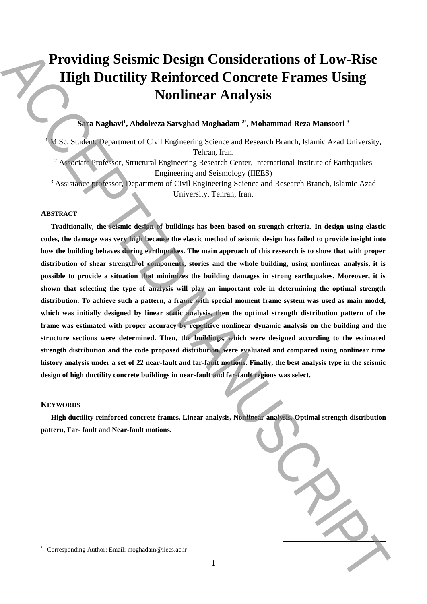# **Providing Seismic Design Considerations of Low-Rise High Ductility Reinforced Concrete Frames Using Nonlinear Analysis**

## **Sara Naghavi<sup>1</sup> , Abdolreza Sarvghad Moghadam <sup>2</sup>**\* **, Mohammad Reza Mansoori <sup>3</sup>**

<sup>1</sup> M.Sc. Student, Department of Civil Engineering Science and Research Branch, Islamic Azad University, Tehran, Iran.

<sup>2</sup> Associate Professor, Structural Engineering Research Center, International Institute of Earthquakes Engineering and Seismology (IIEES)

<sup>3</sup> Assistance professor, Department of Civil Engineering Science and Research Branch, Islamic Azad University, Tehran, Iran.

## **ABSTRACT**

**Traditionally, the seismic design of buildings has been based on strength criteria. In design using elastic codes, the damage was very high because the elastic method of seismic design has failed to provide insight into how the building behaves during earthquakes. The main approach of this research is to show that with proper distribution of shear strength of components, stories and the whole building, using nonlinear analysis, it is possible to provide a situation that minimizes the building damages in strong earthquakes. Moreover, it is shown that selecting the type of analysis will play an important role in determining the optimal strength distribution. To achieve such a pattern, a frame with special moment frame system was used as main model, which was initially designed by linear static analysis, then the optimal strength distribution pattern of the frame was estimated with proper accuracy by repetitive nonlinear dynamic analysis on the building and the structure sections were determined. Then, the buildings, which were designed according to the estimated strength distribution and the code proposed distribution, were evaluated and compared using nonlinear time history analysis under a set of 22 near-fault and far-fault motions. Finally, the best analysis type in the seismic design of high ductility concrete buildings in near-fault and far-fault regions was select. Providing Seismic Design Considerations of Low-Rise<br>
High Ductility Reinforced Concrete Frames Using<br>
Nonlinear Analysis<br>
Non-Sphare Author: Email: and the state of the state of the state of the<br>
state of the state of th** 

## **KEYWORDS**

\*

**High ductility reinforced concrete frames, Linear analysis, Nonlinear analysis, Optimal strength distribution pattern, Far- fault and Near-fault motions.**

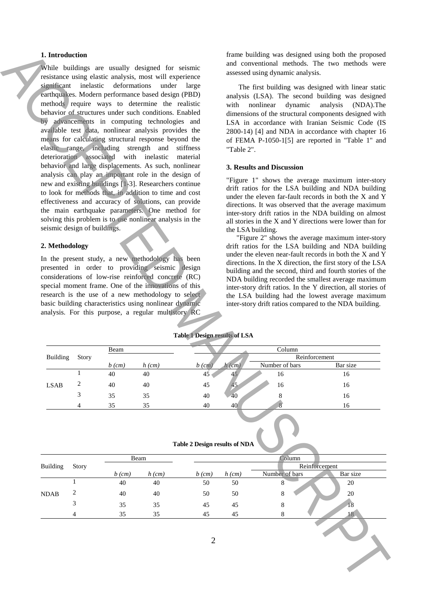## **1. Introduction**

While buildings are usually designed for seismic resistance using elastic analysis, most will experience significant inelastic deformations under large earthquakes. Modern performance based design (PBD) methods require ways to determine the realistic behavior of structures under such conditions. Enabled by advancements in computing technologies and available test data, nonlinear analysis provides the means for calculating structural response beyond the elastic range, including strength and stiffness deterioration associated with inelastic material behavior and large displacements. As such, nonlinear analysis can play an important role in the design of new and existing buildings [1-3]. Researchers continue to look for methods that, in addition to time and cost effectiveness and accuracy of solutions, can provide the main earthquake parameters. One method for solving this problem is to use nonlinear analysis in the seismic design of buildings. 1. Interdstate material continues and continues and continues and continues and continues are expected by the continues and continues and continues and continues are expected by the continues and continues are expected by

## **2. Methodology**

In the present study, a new methodology has been presented in order to providing seismic design considerations of low-rise reinforced concrete (RC) special moment frame. One of the innovations of this research is the use of a new methodology to select basic building characteristics using nonlinear dynamic analysis. For this purpose, a regular multistory RC

frame building was designed using both the proposed and conventional methods. The two methods were assessed using dynamic analysis.

The first building was designed with linear static analysis (LSA). The second building was designed with nonlinear dynamic analysis (NDA).The dimensions of the structural components designed with LSA in accordance with Iranian Seismic Code (IS 2800-14) [4] and NDA in accordance with chapter 16 of FEMA P-1050-1[5] are reported in "Table 1" and "Table 2".

### **3. Results and Discussion**

"Figure 1" shows the average maximum inter-story drift ratios for the LSA building and NDA building under the eleven far-fault records in both the X and Y directions. It was observed that the average maximum inter-story drift ratios in the NDA building on almost all stories in the X and Y directions were lower than for the LSA building.

"Figure 2" shows the average maximum inter-story drift ratios for the LSA building and NDA building under the eleven near-fault records in both the X and Y directions. In the X direction, the first story of the LSA building and the second, third and fourth stories of the NDA building recorded the smallest average maximum inter-story drift ratios. In the Y direction, all stories of the LSA building had the lowest average maximum inter-story drift ratios compared to the NDA building.

|                 | Story | Beam     |          | Column        |          |                |          |
|-----------------|-------|----------|----------|---------------|----------|----------------|----------|
| <b>Building</b> |       |          |          | Reinforcement |          |                |          |
|                 |       | $b$ (cm) | $h$ (cm) | $b$ (cm)      | $h$ (cm) | Number of bars | Bar size |
|                 |       | 40       | 40       | 45            |          | 16             | 16       |
| <b>LSAB</b>     |       | 40       | 40       | 45            | 45       | 16             | 16       |
|                 |       | 35       | 35       | 40            | -40      |                | 16       |
|                 |       | 35       | 35       | 40            | 40       |                | 16       |

|  | Table 2 Design results of NDA |  |
|--|-------------------------------|--|
|  |                               |  |

|                 |              | <b>Table 2 Design results of NDA</b> |          |          |               |                |                 |  |
|-----------------|--------------|--------------------------------------|----------|----------|---------------|----------------|-----------------|--|
|                 | <b>Story</b> | Beam                                 |          | Column   |               |                |                 |  |
| <b>Building</b> |              |                                      |          |          | Reinforcement |                |                 |  |
|                 |              | $b$ (cm)                             | $h$ (cm) | $b$ (cm) | $h$ (cm)      | Number of bars | Bar size        |  |
|                 |              | 40                                   | 40       | 50       | 50            | 8              | 20              |  |
| <b>NDAB</b>     | 2            | 40                                   | 40       | 50       | 50            | 8              | 20              |  |
|                 | 3            | 35                                   | 35       | 45       | 45            | 8              | 18              |  |
|                 | 4            | 35                                   | 35       | 45       | 45            | 8              | 18 <sup>1</sup> |  |